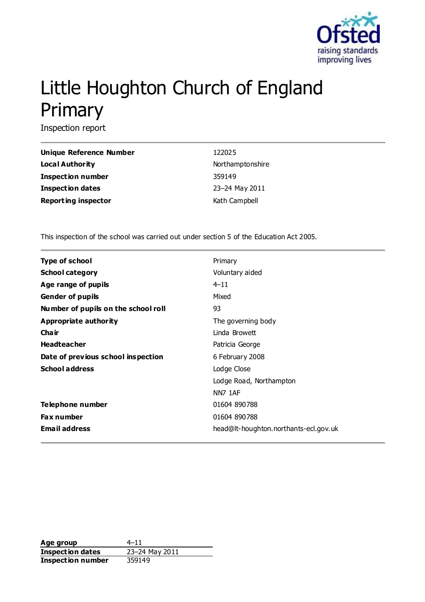

# Little Houghton Church of England Primary

Inspection report

| <b>Unique Reference Number</b> | 122025           |
|--------------------------------|------------------|
| <b>Local Authority</b>         | Northamptonshire |
| <b>Inspection number</b>       | 359149           |
| <b>Inspection dates</b>        | 23-24 May 2011   |
| <b>Reporting inspector</b>     | Kath Campbell    |

This inspection of the school was carried out under section 5 of the Education Act 2005.

| <b>Type of school</b>               | Primary                               |
|-------------------------------------|---------------------------------------|
| <b>School category</b>              | Voluntary aided                       |
| Age range of pupils                 | $4 - 11$                              |
| <b>Gender of pupils</b>             | Mixed                                 |
| Number of pupils on the school roll | 93                                    |
| Appropriate authority               | The governing body                    |
| Cha ir                              | Linda Browett                         |
| <b>Headteacher</b>                  | Patricia George                       |
| Date of previous school inspection  | 6 February 2008                       |
| <b>School address</b>               | Lodge Close                           |
|                                     | Lodge Road, Northampton               |
|                                     | <b>NN7 1AF</b>                        |
| <b>Telephone number</b>             | 01604 890788                          |
| <b>Fax number</b>                   | 01604 890788                          |
| <b>Email address</b>                | head@lt-houghton.northants-ecl.gov.uk |

**Age group** 4–11 **Inspection dates** 23–24 May 2011 **Inspection number** 359149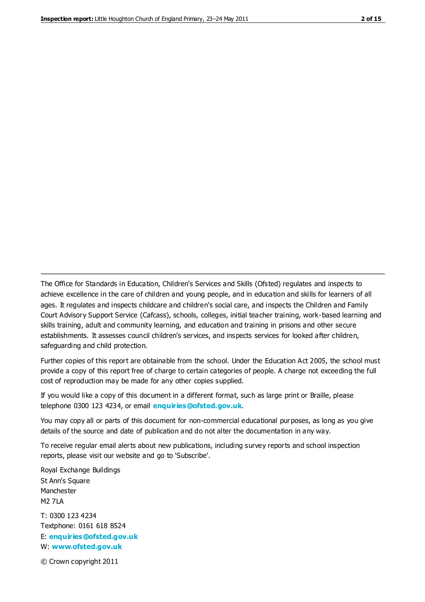The Office for Standards in Education, Children's Services and Skills (Ofsted) regulates and inspects to achieve excellence in the care of children and young people, and in education and skills for learners of all ages. It regulates and inspects childcare and children's social care, and inspects the Children and Family Court Advisory Support Service (Cafcass), schools, colleges, initial teacher training, work-based learning and skills training, adult and community learning, and education and training in prisons and other secure establishments. It assesses council children's services, and inspects services for looked after children, safeguarding and child protection.

Further copies of this report are obtainable from the school. Under the Education Act 2005, the school must provide a copy of this report free of charge to certain categories of people. A charge not exceeding the full cost of reproduction may be made for any other copies supplied.

If you would like a copy of this document in a different format, such as large print or Braille, please telephone 0300 123 4234, or email **[enquiries@ofsted.gov.uk](mailto:enquiries@ofsted.gov.uk)**.

You may copy all or parts of this document for non-commercial educational purposes, as long as you give details of the source and date of publication and do not alter the documentation in any way.

To receive regular email alerts about new publications, including survey reports and school inspection reports, please visit our website and go to 'Subscribe'.

Royal Exchange Buildings St Ann's Square Manchester M2 7LA T: 0300 123 4234 Textphone: 0161 618 8524 E: **[enquiries@ofsted.gov.uk](mailto:enquiries@ofsted.gov.uk)**

W: **[www.ofsted.gov.uk](http://www.ofsted.gov.uk/)**

© Crown copyright 2011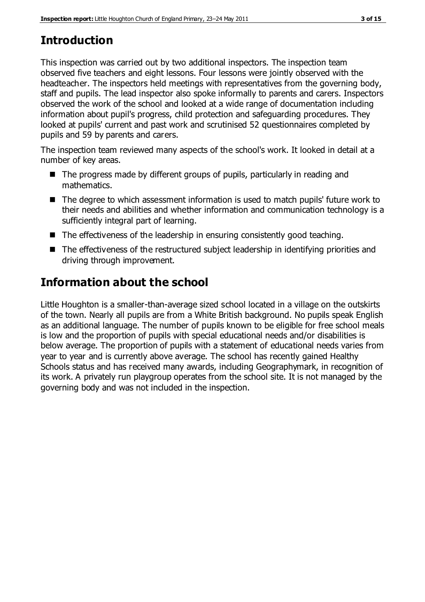# **Introduction**

This inspection was carried out by two additional inspectors. The inspection team observed five teachers and eight lessons. Four lessons were jointly observed with the headteacher. The inspectors held meetings with representatives from the governing body, staff and pupils. The lead inspector also spoke informally to parents and carers. Inspectors observed the work of the school and looked at a wide range of documentation including information about pupil's progress, child protection and safeguarding procedures. They looked at pupils' current and past work and scrutinised 52 questionnaires completed by pupils and 59 by parents and carers.

The inspection team reviewed many aspects of the school's work. It looked in detail at a number of key areas.

- The progress made by different groups of pupils, particularly in reading and mathematics.
- The degree to which assessment information is used to match pupils' future work to their needs and abilities and whether information and communication technology is a sufficiently integral part of learning.
- The effectiveness of the leadership in ensuring consistently good teaching.
- The effectiveness of the restructured subject leadership in identifying priorities and driving through improvement.

# **Information about the school**

Little Houghton is a smaller-than-average sized school located in a village on the outskirts of the town. Nearly all pupils are from a White British background. No pupils speak English as an additional language. The number of pupils known to be eligible for free school meals is low and the proportion of pupils with special educational needs and/or disabilities is below average. The proportion of pupils with a statement of educational needs varies from year to year and is currently above average. The school has recently gained Healthy Schools status and has received many awards, including Geographymark, in recognition of its work. A privately run playgroup operates from the school site. It is not managed by the governing body and was not included in the inspection.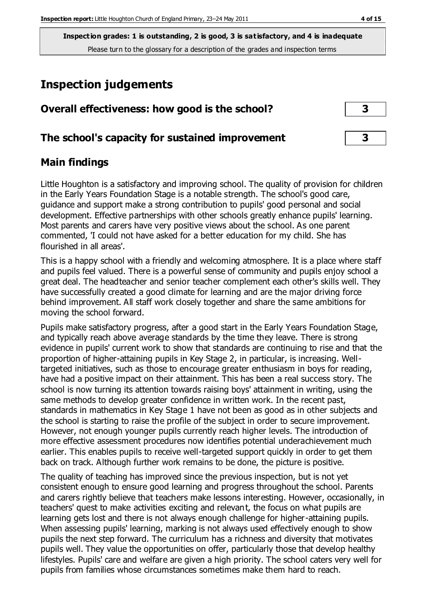# **Inspection judgements**

| Overall effectiveness: how good is the school?  | $\overline{\mathbf{3}}$ |
|-------------------------------------------------|-------------------------|
| The school's capacity for sustained improvement | $\overline{\mathbf{3}}$ |

#### **Main findings**

Little Houghton is a satisfactory and improving school. The quality of provision for children in the Early Years Foundation Stage is a notable strength. The school's good care, guidance and support make a strong contribution to pupils' good personal and social development. Effective partnerships with other schools greatly enhance pupils' learning. Most parents and carers have very positive views about the school. As one parent commented, 'I could not have asked for a better education for my child. She has flourished in all areas'.

This is a happy school with a friendly and welcoming atmosphere. It is a place where staff and pupils feel valued. There is a powerful sense of community and pupils enjoy school a great deal. The headteacher and senior teacher complement each other's skills well. They have successfully created a good climate for learning and are the major driving force behind improvement. All staff work closely together and share the same ambitions for moving the school forward.

Pupils make satisfactory progress, after a good start in the Early Years Foundation Stage, and typically reach above average standards by the time they leave. There is strong evidence in pupils' current work to show that standards are continuing to rise and that the proportion of higher-attaining pupils in Key Stage 2, in particular, is increasing. Welltargeted initiatives, such as those to encourage greater enthusiasm in boys for reading, have had a positive impact on their attainment. This has been a real success story. The school is now turning its attention towards raising boys' attainment in writing, using the same methods to develop greater confidence in written work. In the recent past, standards in mathematics in Key Stage 1 have not been as good as in other subjects and the school is starting to raise the profile of the subject in order to secure improvement. However, not enough younger pupils currently reach higher levels. The introduction of more effective assessment procedures now identifies potential underachievement much earlier. This enables pupils to receive well-targeted support quickly in order to get them back on track. Although further work remains to be done, the picture is positive.

The quality of teaching has improved since the previous inspection, but is not yet consistent enough to ensure good learning and progress throughout the school. Parents and carers rightly believe that teachers make lessons interesting. However, occasionally, in teachers' quest to make activities exciting and relevant, the focus on what pupils are learning gets lost and there is not always enough challenge for higher-attaining pupils. When assessing pupils' learning, marking is not always used effectively enough to show pupils the next step forward. The curriculum has a richness and diversity that motivates pupils well. They value the opportunities on offer, particularly those that develop healthy lifestyles. Pupils' care and welfare are given a high priority. The school caters very well for pupils from families whose circumstances sometimes make them hard to reach.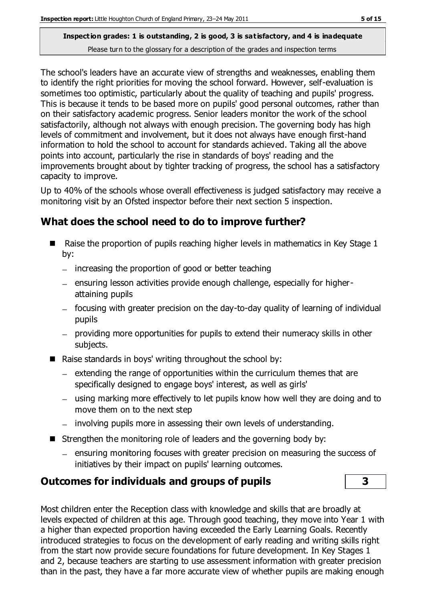The school's leaders have an accurate view of strengths and weaknesses, enabling them to identify the right priorities for moving the school forward. However, self-evaluation is sometimes too optimistic, particularly about the quality of teaching and pupils' progress. This is because it tends to be based more on pupils' good personal outcomes, rather than on their satisfactory academic progress. Senior leaders monitor the work of the school satisfactorily, although not always with enough precision. The governing body has high levels of commitment and involvement, but it does not always have enough first-hand information to hold the school to account for standards achieved. Taking all the above points into account, particularly the rise in standards of boys' reading and the improvements brought about by tighter tracking of progress, the school has a satisfactory capacity to improve.

Up to 40% of the schools whose overall effectiveness is judged satisfactory may receive a monitoring visit by an Ofsted inspector before their next section 5 inspection.

## **What does the school need to do to improve further?**

- Raise the proportion of pupils reaching higher levels in mathematics in Key Stage  $1$ by:
	- $-$  increasing the proportion of good or better teaching
	- ensuring lesson activities provide enough challenge, especially for higherattaining pupils
	- focusing with greater precision on the day-to-day quality of learning of individual pupils
	- providing more opportunities for pupils to extend their numeracy skills in other subjects.
- Raise standards in boys' writing throughout the school by:
	- $=$  extending the range of opportunities within the curriculum themes that are specifically designed to engage boys' interest, as well as girls'
	- using marking more effectively to let pupils know how well they are doing and to move them on to the next step
	- involving pupils more in assessing their own levels of understanding.
- Strengthen the monitoring role of leaders and the governing body by:
	- ensuring monitoring focuses with greater precision on measuring the success of initiatives by their impact on pupils' learning outcomes.

## **Outcomes for individuals and groups of pupils 3**

Most children enter the Reception class with knowledge and skills that are broadly at levels expected of children at this age. Through good teaching, they move into Year 1 with a higher than expected proportion having exceeded the Early Learning Goals. Recently introduced strategies to focus on the development of early reading and writing skills right from the start now provide secure foundations for future development. In Key Stages 1 and 2, because teachers are starting to use assessment information with greater precision than in the past, they have a far more accurate view of whether pupils are making enough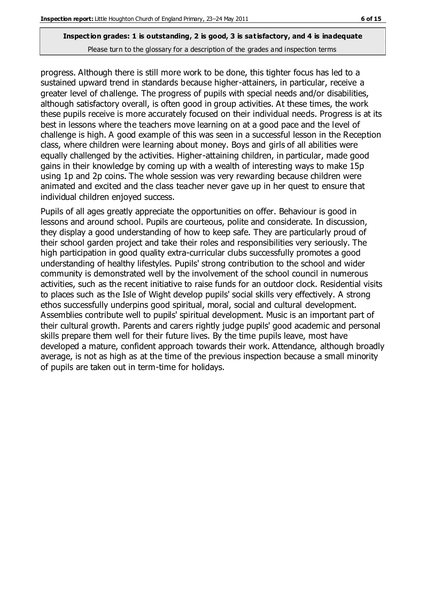progress. Although there is still more work to be done, this tighter focus has led to a sustained upward trend in standards because higher-attainers, in particular, receive a greater level of challenge. The progress of pupils with special needs and/or disabilities, although satisfactory overall, is often good in group activities. At these times, the work these pupils receive is more accurately focused on their individual needs. Progress is at its best in lessons where the teachers move learning on at a good pace and the level of challenge is high. A good example of this was seen in a successful lesson in the Reception class, where children were learning about money. Boys and girls of all abilities were equally challenged by the activities. Higher-attaining children, in particular, made good gains in their knowledge by coming up with a wealth of interesting ways to make 15p using 1p and 2p coins. The whole session was very rewarding because children were animated and excited and the class teacher never gave up in her quest to ensure that individual children enjoyed success.

Pupils of all ages greatly appreciate the opportunities on offer. Behaviour is good in lessons and around school. Pupils are courteous, polite and considerate. In discussion, they display a good understanding of how to keep safe. They are particularly proud of their school garden project and take their roles and responsibilities very seriously. The high participation in good quality extra-curricular clubs successfully promotes a good understanding of healthy lifestyles. Pupils' strong contribution to the school and wider community is demonstrated well by the involvement of the school council in numerous activities, such as the recent initiative to raise funds for an outdoor clock. Residential visits to places such as the Isle of Wight develop pupils' social skills very effectively. A strong ethos successfully underpins good spiritual, moral, social and cultural development. Assemblies contribute well to pupils' spiritual development. Music is an important part of their cultural growth. Parents and carers rightly judge pupils' good academic and personal skills prepare them well for their future lives. By the time pupils leave, most have developed a mature, confident approach towards their work. Attendance, although broadly average, is not as high as at the time of the previous inspection because a small minority of pupils are taken out in term-time for holidays.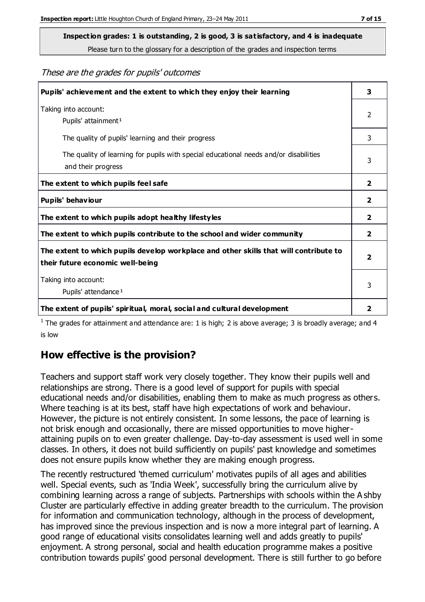**Inspection grades: 1 is outstanding, 2 is good, 3 is satisfactory, and 4 is inadequate**

Please turn to the glossary for a description of the grades and inspection terms

These are the grades for pupils' outcomes

| Pupils' achievement and the extent to which they enjoy their learning                                                     |                         |
|---------------------------------------------------------------------------------------------------------------------------|-------------------------|
| Taking into account:<br>Pupils' attainment <sup>1</sup>                                                                   | 2                       |
| The quality of pupils' learning and their progress                                                                        | 3                       |
| The quality of learning for pupils with special educational needs and/or disabilities<br>and their progress               | 3                       |
| The extent to which pupils feel safe                                                                                      | $\overline{\mathbf{2}}$ |
| Pupils' behaviour                                                                                                         | $\overline{\mathbf{2}}$ |
| The extent to which pupils adopt healthy lifestyles                                                                       | 2                       |
| The extent to which pupils contribute to the school and wider community                                                   | 2                       |
| The extent to which pupils develop workplace and other skills that will contribute to<br>their future economic well-being |                         |
| Taking into account:<br>Pupils' attendance <sup>1</sup>                                                                   | 3                       |
| The extent of pupils' spiritual, moral, social and cultural development                                                   | 2                       |

<sup>1</sup> The grades for attainment and attendance are: 1 is high; 2 is above average; 3 is broadly average; and 4 is low

## **How effective is the provision?**

Teachers and support staff work very closely together. They know their pupils well and relationships are strong. There is a good level of support for pupils with special educational needs and/or disabilities, enabling them to make as much progress as others. Where teaching is at its best, staff have high expectations of work and behaviour. However, the picture is not entirely consistent. In some lessons, the pace of learning is not brisk enough and occasionally, there are missed opportunities to move higherattaining pupils on to even greater challenge. Day-to-day assessment is used well in some classes. In others, it does not build sufficiently on pupils' past knowledge and sometimes does not ensure pupils know whether they are making enough progress.

The recently restructured 'themed curriculum' motivates pupils of all ages and abilities well. Special events, such as 'India Week', successfully bring the curriculum alive by combining learning across a range of subjects. Partnerships with schools within the A shby Cluster are particularly effective in adding greater breadth to the curriculum. The provision for information and communication technology, although in the process of development, has improved since the previous inspection and is now a more integral part of learning. A good range of educational visits consolidates learning well and adds greatly to pupils' enjoyment. A strong personal, social and health education programme makes a positive contribution towards pupils' good personal development. There is still further to go before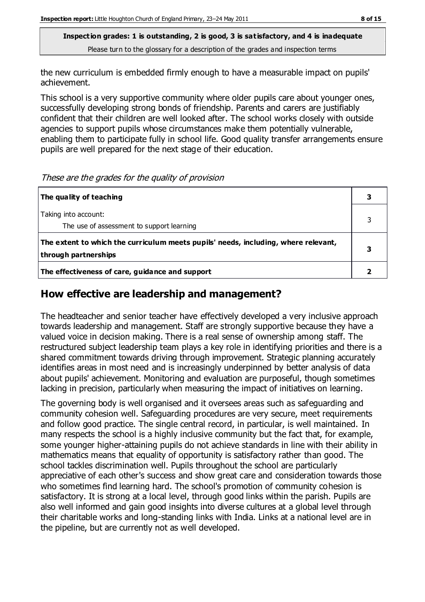the new curriculum is embedded firmly enough to have a measurable impact on pupils' achievement.

This school is a very supportive community where older pupils care about younger ones, successfully developing strong bonds of friendship. Parents and carers are justifiably confident that their children are well looked after. The school works closely with outside agencies to support pupils whose circumstances make them potentially vulnerable, enabling them to participate fully in school life. Good quality transfer arrangements ensure pupils are well prepared for the next stage of their education.

These are the grades for the quality of provision

| The quality of teaching                                                                                    |  |
|------------------------------------------------------------------------------------------------------------|--|
| Taking into account:<br>The use of assessment to support learning                                          |  |
| The extent to which the curriculum meets pupils' needs, including, where relevant,<br>through partnerships |  |
| The effectiveness of care, guidance and support                                                            |  |

#### **How effective are leadership and management?**

The headteacher and senior teacher have effectively developed a very inclusive approach towards leadership and management. Staff are strongly supportive because they have a valued voice in decision making. There is a real sense of ownership among staff. The restructured subject leadership team plays a key role in identifying priorities and there is a shared commitment towards driving through improvement. Strategic planning accurately identifies areas in most need and is increasingly underpinned by better analysis of data about pupils' achievement. Monitoring and evaluation are purposeful, though sometimes lacking in precision, particularly when measuring the impact of initiatives on learning.

The governing body is well organised and it oversees areas such as safeguarding and community cohesion well. Safeguarding procedures are very secure, meet requirements and follow good practice. The single central record, in particular, is well maintained. In many respects the school is a highly inclusive community but the fact that, for example, some younger higher-attaining pupils do not achieve standards in line with their ability in mathematics means that equality of opportunity is satisfactory rather than good. The school tackles discrimination well. Pupils throughout the school are particularly appreciative of each other's success and show great care and consideration towards those who sometimes find learning hard. The school's promotion of community cohesion is satisfactory. It is strong at a local level, through good links within the parish. Pupils are also well informed and gain good insights into diverse cultures at a global level through their charitable works and long-standing links with India. Links at a national level are in the pipeline, but are currently not as well developed.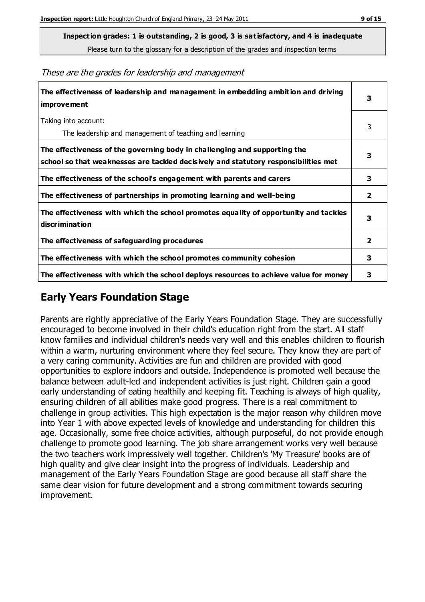**Inspection grades: 1 is outstanding, 2 is good, 3 is satisfactory, and 4 is inadequate**

Please turn to the glossary for a description of the grades and inspection terms

**The effectiveness of leadership and management in embedding ambition and driving improvement 3** Taking into account: The leadership and management of teaching and learning 3 **The effectiveness of the governing body in challenging and supporting the school so that weaknesses are tackled decisively and statutory responsibilities met 3 The effectiveness of the school's engagement with parents and carers 3 The effectiveness of partnerships in promoting learning and well-being 2 The effectiveness with which the school promotes equality of opportunity and tackles discrimination 3 The effectiveness of safeguarding procedures 2 The effectiveness with which the school promotes community cohesion 3 The effectiveness with which the school deploys resources to achieve value for money 3**

#### These are the grades for leadership and management

## **Early Years Foundation Stage**

Parents are rightly appreciative of the Early Years Foundation Stage. They are successfully encouraged to become involved in their child's education right from the start. All staff know families and individual children's needs very well and this enables children to flourish within a warm, nurturing environment where they feel secure. They know they are part of a very caring community. Activities are fun and children are provided with good opportunities to explore indoors and outside. Independence is promoted well because the balance between adult-led and independent activities is just right. Children gain a good early understanding of eating healthily and keeping fit. Teaching is always of high quality, ensuring children of all abilities make good progress. There is a real commitment to challenge in group activities. This high expectation is the major reason why children move into Year 1 with above expected levels of knowledge and understanding for children this age. Occasionally, some free choice activities, although purposeful, do not provide enough challenge to promote good learning. The job share arrangement works very well because the two teachers work impressively well together. Children's 'My Treasure' books are of high quality and give clear insight into the progress of individuals. Leadership and management of the Early Years Foundation Stage are good because all staff share the same clear vision for future development and a strong commitment towards securing improvement.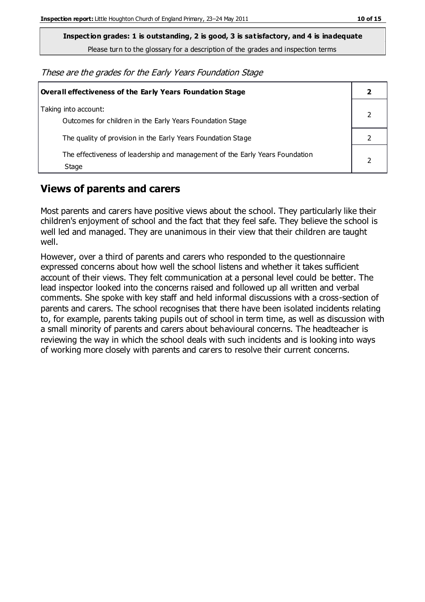**Inspection grades: 1 is outstanding, 2 is good, 3 is satisfactory, and 4 is inadequate**

Please turn to the glossary for a description of the grades and inspection terms

These are the grades for the Early Years Foundation Stage

| <b>Overall effectiveness of the Early Years Foundation Stage</b>                      |  |  |
|---------------------------------------------------------------------------------------|--|--|
| Taking into account:<br>Outcomes for children in the Early Years Foundation Stage     |  |  |
| The quality of provision in the Early Years Foundation Stage                          |  |  |
| The effectiveness of leadership and management of the Early Years Foundation<br>Stage |  |  |

## **Views of parents and carers**

Most parents and carers have positive views about the school. They particularly like their children's enjoyment of school and the fact that they feel safe. They believe the school is well led and managed. They are unanimous in their view that their children are taught well.

However, over a third of parents and carers who responded to the questionnaire expressed concerns about how well the school listens and whether it takes sufficient account of their views. They felt communication at a personal level could be better. The lead inspector looked into the concerns raised and followed up all written and verbal comments. She spoke with key staff and held informal discussions with a cross-section of parents and carers. The school recognises that there have been isolated incidents relating to, for example, parents taking pupils out of school in term time, as well as discussion with a small minority of parents and carers about behavioural concerns. The headteacher is reviewing the way in which the school deals with such incidents and is looking into ways of working more closely with parents and carers to resolve their current concerns.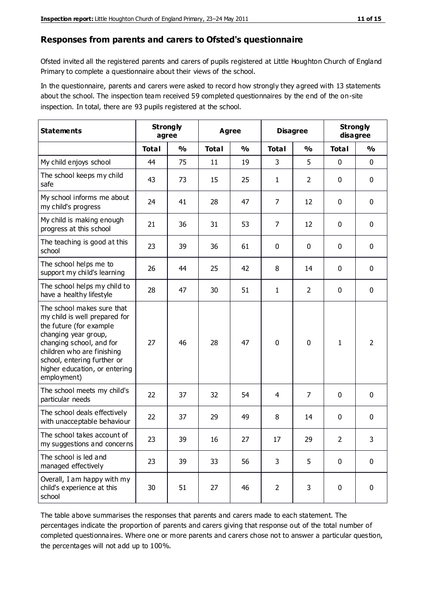#### **Responses from parents and carers to Ofsted's questionnaire**

Ofsted invited all the registered parents and carers of pupils registered at Little Houghton Church of England Primary to complete a questionnaire about their views of the school.

In the questionnaire, parents and carers were asked to record how strongly they agreed with 13 statements about the school. The inspection team received 59 completed questionnaires by the end of the on-site inspection. In total, there are 93 pupils registered at the school.

| <b>Statements</b>                                                                                                                                                                                                                                       | <b>Strongly</b><br>agree |               | Agree        |               | <b>Disagree</b> |                | <b>Strongly</b><br>disagree |                |
|---------------------------------------------------------------------------------------------------------------------------------------------------------------------------------------------------------------------------------------------------------|--------------------------|---------------|--------------|---------------|-----------------|----------------|-----------------------------|----------------|
|                                                                                                                                                                                                                                                         | <b>Total</b>             | $\frac{0}{0}$ | <b>Total</b> | $\frac{0}{0}$ | <b>Total</b>    | $\frac{0}{0}$  | <b>Total</b>                | $\frac{1}{2}$  |
| My child enjoys school                                                                                                                                                                                                                                  | 44                       | 75            | 11           | 19            | 3               | 5              | $\mathbf 0$                 | $\mathbf 0$    |
| The school keeps my child<br>safe                                                                                                                                                                                                                       | 43                       | 73            | 15           | 25            | 1               | $\overline{2}$ | 0                           | $\mathbf 0$    |
| My school informs me about<br>my child's progress                                                                                                                                                                                                       | 24                       | 41            | 28           | 47            | 7               | 12             | $\mathbf 0$                 | $\mathbf 0$    |
| My child is making enough<br>progress at this school                                                                                                                                                                                                    | 21                       | 36            | 31           | 53            | $\overline{7}$  | 12             | $\mathbf 0$                 | $\mathbf 0$    |
| The teaching is good at this<br>school                                                                                                                                                                                                                  | 23                       | 39            | 36           | 61            | 0               | 0              | 0                           | $\mathbf 0$    |
| The school helps me to<br>support my child's learning                                                                                                                                                                                                   | 26                       | 44            | 25           | 42            | 8               | 14             | $\mathbf 0$                 | $\mathbf 0$    |
| The school helps my child to<br>have a healthy lifestyle                                                                                                                                                                                                | 28                       | 47            | 30           | 51            | $\mathbf{1}$    | $\overline{2}$ | $\mathbf 0$                 | $\mathbf 0$    |
| The school makes sure that<br>my child is well prepared for<br>the future (for example<br>changing year group,<br>changing school, and for<br>children who are finishing<br>school, entering further or<br>higher education, or entering<br>employment) | 27                       | 46            | 28           | 47            | 0               | 0              | 1                           | $\overline{2}$ |
| The school meets my child's<br>particular needs                                                                                                                                                                                                         | 22                       | 37            | 32           | 54            | 4               | 7              | $\mathbf 0$                 | $\mathbf 0$    |
| The school deals effectively<br>with unacceptable behaviour                                                                                                                                                                                             | 22                       | 37            | 29           | 49            | 8               | 14             | 0                           | 0              |
| The school takes account of<br>my suggestions and concerns                                                                                                                                                                                              | 23                       | 39            | 16           | 27            | 17              | 29             | $\overline{2}$              | 3              |
| The school is led and<br>managed effectively                                                                                                                                                                                                            | 23                       | 39            | 33           | 56            | 3               | 5              | $\mathbf 0$                 | $\mathbf 0$    |
| Overall, I am happy with my<br>child's experience at this<br>school                                                                                                                                                                                     | 30                       | 51            | 27           | 46            | $\overline{2}$  | 3              | $\mathbf 0$                 | $\mathbf 0$    |

The table above summarises the responses that parents and carers made to each statement. The percentages indicate the proportion of parents and carers giving that response out of the total number of completed questionnaires. Where one or more parents and carers chose not to answer a particular question, the percentages will not add up to 100%.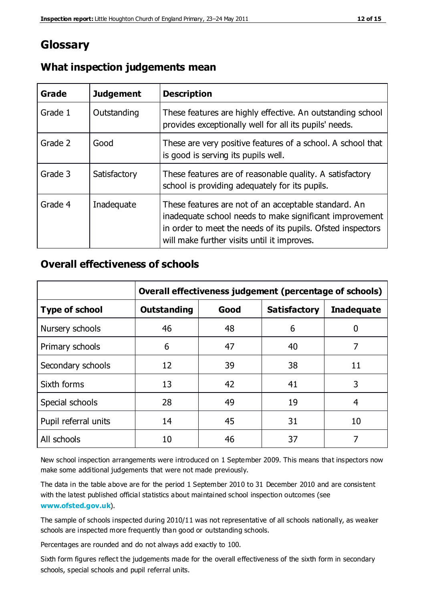## **Glossary**

| Grade   | <b>Judgement</b> | <b>Description</b>                                                                                                                                                                                                            |
|---------|------------------|-------------------------------------------------------------------------------------------------------------------------------------------------------------------------------------------------------------------------------|
| Grade 1 | Outstanding      | These features are highly effective. An outstanding school<br>provides exceptionally well for all its pupils' needs.                                                                                                          |
| Grade 2 | Good             | These are very positive features of a school. A school that<br>is good is serving its pupils well.                                                                                                                            |
| Grade 3 | Satisfactory     | These features are of reasonable quality. A satisfactory<br>school is providing adequately for its pupils.                                                                                                                    |
| Grade 4 | Inadequate       | These features are not of an acceptable standard. An<br>inadequate school needs to make significant improvement<br>in order to meet the needs of its pupils. Ofsted inspectors<br>will make further visits until it improves. |

#### **What inspection judgements mean**

#### **Overall effectiveness of schools**

|                       | Overall effectiveness judgement (percentage of schools) |      |                     |                   |
|-----------------------|---------------------------------------------------------|------|---------------------|-------------------|
| <b>Type of school</b> | <b>Outstanding</b>                                      | Good | <b>Satisfactory</b> | <b>Inadequate</b> |
| Nursery schools       | 46                                                      | 48   | 6                   |                   |
| Primary schools       | 6                                                       | 47   | 40                  | 7                 |
| Secondary schools     | 12                                                      | 39   | 38                  | 11                |
| Sixth forms           | 13                                                      | 42   | 41                  | 3                 |
| Special schools       | 28                                                      | 49   | 19                  | 4                 |
| Pupil referral units  | 14                                                      | 45   | 31                  | 10                |
| All schools           | 10                                                      | 46   | 37                  |                   |

New school inspection arrangements were introduced on 1 September 2009. This means that inspectors now make some additional judgements that were not made previously.

The data in the table above are for the period 1 September 2010 to 31 December 2010 and are consistent with the latest published official statistics about maintained school inspection outcomes (see **[www.ofsted.gov.uk](http://www.ofsted.gov.uk/)**).

The sample of schools inspected during 2010/11 was not representative of all schools nationally, as weaker schools are inspected more frequently than good or outstanding schools.

Percentages are rounded and do not always add exactly to 100.

Sixth form figures reflect the judgements made for the overall effectiveness of the sixth form in secondary schools, special schools and pupil referral units.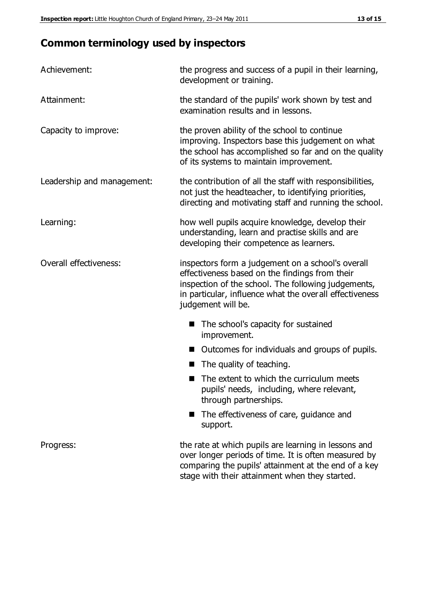# **Common terminology used by inspectors**

| Achievement:                  | the progress and success of a pupil in their learning,<br>development or training.                                                                                                                                                           |  |  |
|-------------------------------|----------------------------------------------------------------------------------------------------------------------------------------------------------------------------------------------------------------------------------------------|--|--|
| Attainment:                   | the standard of the pupils' work shown by test and<br>examination results and in lessons.                                                                                                                                                    |  |  |
| Capacity to improve:          | the proven ability of the school to continue<br>improving. Inspectors base this judgement on what<br>the school has accomplished so far and on the quality<br>of its systems to maintain improvement.                                        |  |  |
| Leadership and management:    | the contribution of all the staff with responsibilities,<br>not just the headteacher, to identifying priorities,<br>directing and motivating staff and running the school.                                                                   |  |  |
| Learning:                     | how well pupils acquire knowledge, develop their<br>understanding, learn and practise skills and are<br>developing their competence as learners.                                                                                             |  |  |
| <b>Overall effectiveness:</b> | inspectors form a judgement on a school's overall<br>effectiveness based on the findings from their<br>inspection of the school. The following judgements,<br>in particular, influence what the over all effectiveness<br>judgement will be. |  |  |
|                               | The school's capacity for sustained<br>improvement.                                                                                                                                                                                          |  |  |
|                               | Outcomes for individuals and groups of pupils.                                                                                                                                                                                               |  |  |
|                               | The quality of teaching.                                                                                                                                                                                                                     |  |  |
|                               | The extent to which the curriculum meets<br>pupils' needs, including, where relevant,<br>through partnerships.                                                                                                                               |  |  |
|                               | The effectiveness of care, guidance and<br>support.                                                                                                                                                                                          |  |  |
| Progress:                     | the rate at which pupils are learning in lessons and<br>over longer periods of time. It is often measured by<br>comparing the pupils' attainment at the end of a key                                                                         |  |  |

stage with their attainment when they started.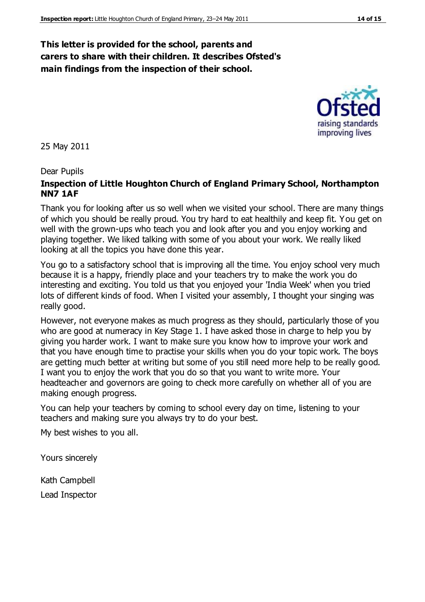#### **This letter is provided for the school, parents and carers to share with their children. It describes Ofsted's main findings from the inspection of their school.**

25 May 2011

#### Dear Pupils

#### **Inspection of Little Houghton Church of England Primary School, Northampton NN7 1AF**

Thank you for looking after us so well when we visited your school. There are many things of which you should be really proud. You try hard to eat healthily and keep fit. You get on well with the grown-ups who teach you and look after you and you enjoy working and playing together. We liked talking with some of you about your work. We really liked looking at all the topics you have done this year.

You go to a satisfactory school that is improving all the time. You enjoy school very much because it is a happy, friendly place and your teachers try to make the work you do interesting and exciting. You told us that you enjoyed your 'India Week' when you tried lots of different kinds of food. When I visited your assembly, I thought your singing was really good.

However, not everyone makes as much progress as they should, particularly those of you who are good at numeracy in Key Stage 1. I have asked those in charge to help you by giving you harder work. I want to make sure you know how to improve your work and that you have enough time to practise your skills when you do your topic work. The boys are getting much better at writing but some of you still need more help to be really good. I want you to enjoy the work that you do so that you want to write more. Your headteacher and governors are going to check more carefully on whether all of you are making enough progress.

You can help your teachers by coming to school every day on time, listening to your teachers and making sure you always try to do your best.

My best wishes to you all.

Yours sincerely

Kath Campbell Lead Inspector